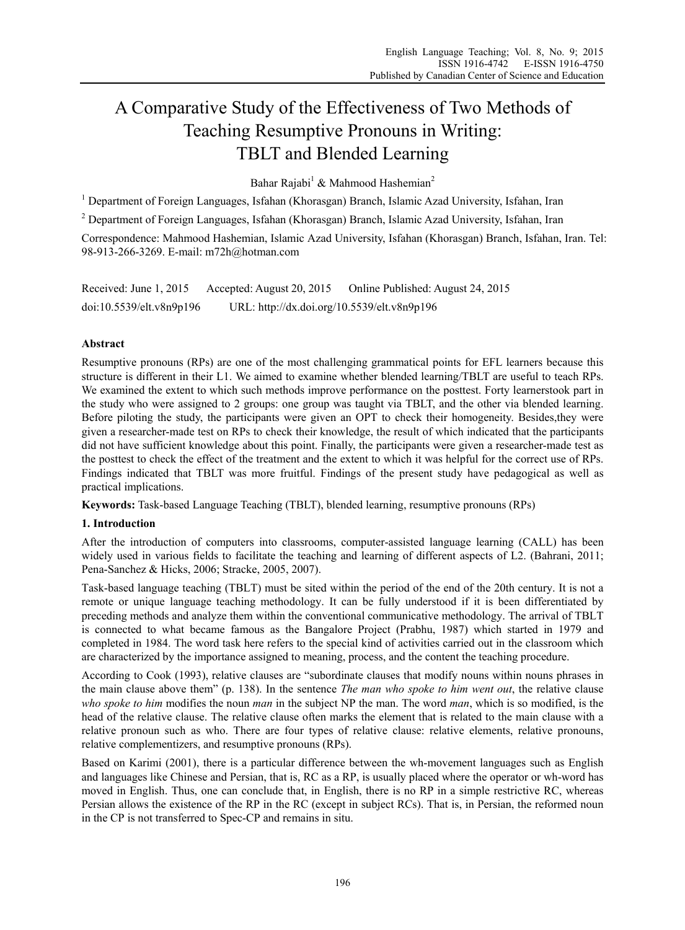# A Comparative Study of the Effectiveness of Two Methods of Teaching Resumptive Pronouns in Writing: TBLT and Blended Learning

Bahar Rajabi<sup>1</sup> & Mahmood Hashemian<sup>2</sup>

<sup>1</sup> Department of Foreign Languages, Isfahan (Khorasgan) Branch, Islamic Azad University, Isfahan, Iran

<sup>2</sup> Department of Foreign Languages, Isfahan (Khorasgan) Branch, Islamic Azad University, Isfahan, Iran

Correspondence: Mahmood Hashemian, Islamic Azad University, Isfahan (Khorasgan) Branch, Isfahan, Iran. Tel: 98-913-266-3269. E-mail: m72h@hotman.com

Received: June 1, 2015 Accepted: August 20, 2015 Online Published: August 24, 2015 doi:10.5539/elt.v8n9p196 URL: http://dx.doi.org/10.5539/elt.v8n9p196

# **Abstract**

Resumptive pronouns (RPs) are one of the most challenging grammatical points for EFL learners because this structure is different in their L1. We aimed to examine whether blended learning/TBLT are useful to teach RPs. We examined the extent to which such methods improve performance on the posttest. Forty learnerstook part in the study who were assigned to 2 groups: one group was taught via TBLT, and the other via blended learning. Before piloting the study, the participants were given an OPT to check their homogeneity. Besides,they were given a researcher-made test on RPs to check their knowledge, the result of which indicated that the participants did not have sufficient knowledge about this point. Finally, the participants were given a researcher-made test as the posttest to check the effect of the treatment and the extent to which it was helpful for the correct use of RPs. Findings indicated that TBLT was more fruitful. Findings of the present study have pedagogical as well as practical implications.

**Keywords:** Task-based Language Teaching (TBLT), blended learning, resumptive pronouns (RPs)

# **1. Introduction**

After the introduction of computers into classrooms, computer-assisted language learning (CALL) has been widely used in various fields to facilitate the teaching and learning of different aspects of L2. (Bahrani, 2011; Pena-Sanchez & Hicks, 2006; Stracke, 2005, 2007).

Task-based language teaching (TBLT) must be sited within the period of the end of the 20th century. It is not a remote or unique language teaching methodology. It can be fully understood if it is been differentiated by preceding methods and analyze them within the conventional communicative methodology. The arrival of TBLT is connected to what became famous as the Bangalore Project (Prabhu, 1987) which started in 1979 and completed in 1984. The word task here refers to the special kind of activities carried out in the classroom which are characterized by the importance assigned to meaning, process, and the content the teaching procedure.

According to Cook (1993), relative clauses are "subordinate clauses that modify nouns within nouns phrases in the main clause above them" (p. 138). In the sentence *The man who spoke to him went out*, the relative clause *who spoke to him* modifies the noun *man* in the subject NP the man. The word *man*, which is so modified, is the head of the relative clause. The relative clause often marks the element that is related to the main clause with a relative pronoun such as who. There are four types of relative clause: relative elements, relative pronouns, relative complementizers, and resumptive pronouns (RPs).

Based on Karimi (2001), there is a particular difference between the wh-movement languages such as English and languages like Chinese and Persian, that is, RC as a RP, is usually placed where the operator or wh-word has moved in English. Thus, one can conclude that, in English, there is no RP in a simple restrictive RC, whereas Persian allows the existence of the RP in the RC (except in subject RCs). That is, in Persian, the reformed noun in the CP is not transferred to Spec-CP and remains in situ.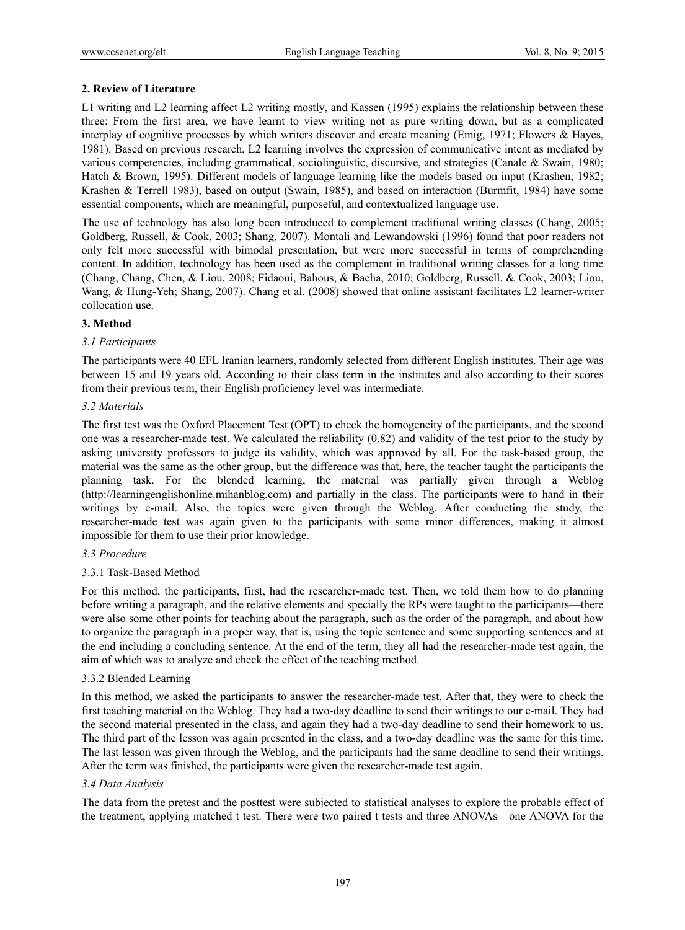## **2. Review of Literature**

L1 writing and L2 learning affect L2 writing mostly, and Kassen (1995) explains the relationship between these three: From the first area, we have learnt to view writing not as pure writing down, but as a complicated interplay of cognitive processes by which writers discover and create meaning (Emig, 1971; Flowers & Hayes, 1981). Based on previous research, L2 learning involves the expression of communicative intent as mediated by various competencies, including grammatical, sociolinguistic, discursive, and strategies (Canale & Swain, 1980; Hatch & Brown, 1995). Different models of language learning like the models based on input (Krashen, 1982; Krashen & Terrell 1983), based on output (Swain, 1985), and based on interaction (Burmfit, 1984) have some essential components, which are meaningful, purposeful, and contextualized language use.

The use of technology has also long been introduced to complement traditional writing classes (Chang, 2005; Goldberg, Russell, & Cook, 2003; Shang, 2007). Montali and Lewandowski (1996) found that poor readers not only felt more successful with bimodal presentation, but were more successful in terms of comprehending content. In addition, technology has been used as the complement in traditional writing classes for a long time (Chang, Chang, Chen, & Liou, 2008; Fidaoui, Bahous, & Bacha, 2010; Goldberg, Russell, & Cook, 2003; Liou, Wang, & Hung-Yeh; Shang, 2007). Chang et al. (2008) showed that online assistant facilitates L2 learner-writer collocation use.

## **3. Method**

## *3.1 Participants*

The participants were 40 EFL Iranian learners, randomly selected from different English institutes. Their age was between 15 and 19 years old. According to their class term in the institutes and also according to their scores from their previous term, their English proficiency level was intermediate.

## *3.2 Materials*

The first test was the Oxford Placement Test (OPT) to check the homogeneity of the participants, and the second one was a researcher-made test. We calculated the reliability (0.82) and validity of the test prior to the study by asking university professors to judge its validity, which was approved by all. For the task-based group, the material was the same as the other group, but the difference was that, here, the teacher taught the participants the planning task. For the blended learning, the material was partially given through a Weblog (http://learningenglishonline.mihanblog.com) and partially in the class. The participants were to hand in their writings by e-mail. Also, the topics were given through the Weblog. After conducting the study, the researcher-made test was again given to the participants with some minor differences, making it almost impossible for them to use their prior knowledge.

## *3.3 Procedure*

## 3.3.1 Task-Based Method

For this method, the participants, first, had the researcher-made test. Then, we told them how to do planning before writing a paragraph, and the relative elements and specially the RPs were taught to the participants—there were also some other points for teaching about the paragraph, such as the order of the paragraph, and about how to organize the paragraph in a proper way, that is, using the topic sentence and some supporting sentences and at the end including a concluding sentence. At the end of the term, they all had the researcher-made test again, the aim of which was to analyze and check the effect of the teaching method.

## 3.3.2 Blended Learning

In this method, we asked the participants to answer the researcher-made test. After that, they were to check the first teaching material on the Weblog. They had a two-day deadline to send their writings to our e-mail. They had the second material presented in the class, and again they had a two-day deadline to send their homework to us. The third part of the lesson was again presented in the class, and a two-day deadline was the same for this time. The last lesson was given through the Weblog, and the participants had the same deadline to send their writings. After the term was finished, the participants were given the researcher-made test again.

## *3.4 Data Analysis*

The data from the pretest and the posttest were subjected to statistical analyses to explore the probable effect of the treatment, applying matched t test. There were two paired t tests and three ANOVAs—one ANOVA for the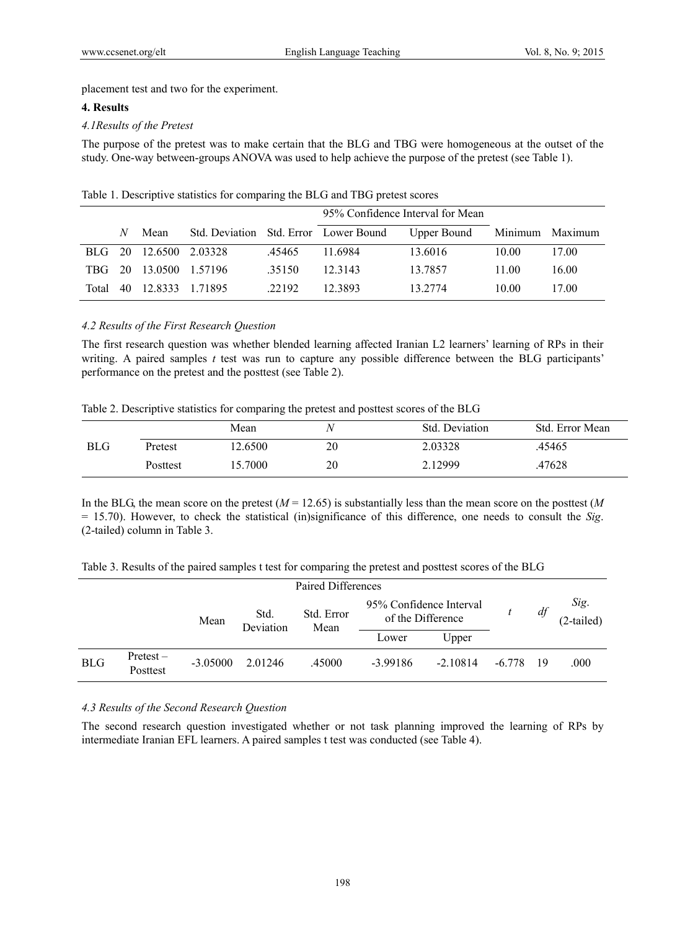placement test and two for the experiment.

## **4. Results**

#### *4.1Results of the Pretest*

The purpose of the pretest was to make certain that the BLG and TBG were homogeneous at the outset of the study. One-way between-groups ANOVA was used to help achieve the purpose of the pretest (see Table 1).

Table 1. Descriptive statistics for comparing the BLG and TBG pretest scores

|       |   |                        |                                       |        |         | 95% Confidence Interval for Mean |                 |       |
|-------|---|------------------------|---------------------------------------|--------|---------|----------------------------------|-----------------|-------|
|       | N | Mean                   | Std. Deviation Std. Error Lower Bound |        |         | Upper Bound                      | Minimum Maximum |       |
|       |   | BLG 20 12.6500 2.03328 |                                       | .45465 | 11 6984 | 13.6016                          | 10.00           | 17.00 |
|       |   | TBG 20 13.0500 1.57196 |                                       | 35150  | 12.3143 | 13.7857                          | 11 00           | 16.00 |
| Total |   | 40 12.8333 1.71895     |                                       | 22192  | 12 3893 | 13 2774                          | 10.00           | 17.00 |

## *4.2 Results of the First Research Question*

The first research question was whether blended learning affected Iranian L2 learners' learning of RPs in their writing. A paired samples *t* test was run to capture any possible difference between the BLG participants' performance on the pretest and the posttest (see Table 2).

| Table 2. Descriptive statistics for comparing the pretest and posttest scores of the BLG |  |  |
|------------------------------------------------------------------------------------------|--|--|
|                                                                                          |  |  |

|            |          | Mean    | N  | Std. Deviation | Std. Error Mean |
|------------|----------|---------|----|----------------|-----------------|
| <b>BLG</b> | Pretest  | 12.6500 | 20 | 2.03328        | .45465          |
|            | Posttest | 15.7000 | 20 | 2.12999        | .47628          |

In the BLG, the mean score on the pretest  $(M = 12.65)$  is substantially less than the mean score on the posttest  $(M$ = 15.70). However, to check the statistical (in)significance of this difference, one needs to consult the *Sig*. (2-tailed) column in Table 3.

| Table 3. Results of the paired samples t test for comparing the pretest and posttest scores of the BLG |  |  |  |  |  |  |  |  |
|--------------------------------------------------------------------------------------------------------|--|--|--|--|--|--|--|--|
|                                                                                                        |  |  |  |  |  |  |  |  |

| Paired Differences |                       |            |                   |                    |                                              |            |        |    |                    |
|--------------------|-----------------------|------------|-------------------|--------------------|----------------------------------------------|------------|--------|----|--------------------|
|                    | Mean                  |            | Std.<br>Deviation | Std. Error<br>Mean | 95% Confidence Interval<br>of the Difference |            |        | df | Sig.<br>(2-tailed) |
|                    |                       |            |                   |                    | Lower                                        | Upper      |        |    |                    |
| <b>BLG</b>         | Pretest –<br>Posttest | $-3.05000$ | 2.01246           | .45000             | $-3.99186$                                   | $-2.10814$ | -6 778 | 19 | .000               |

## *4.3 Results of the Second Research Question*

The second research question investigated whether or not task planning improved the learning of RPs by intermediate Iranian EFL learners. A paired samples t test was conducted (see Table 4).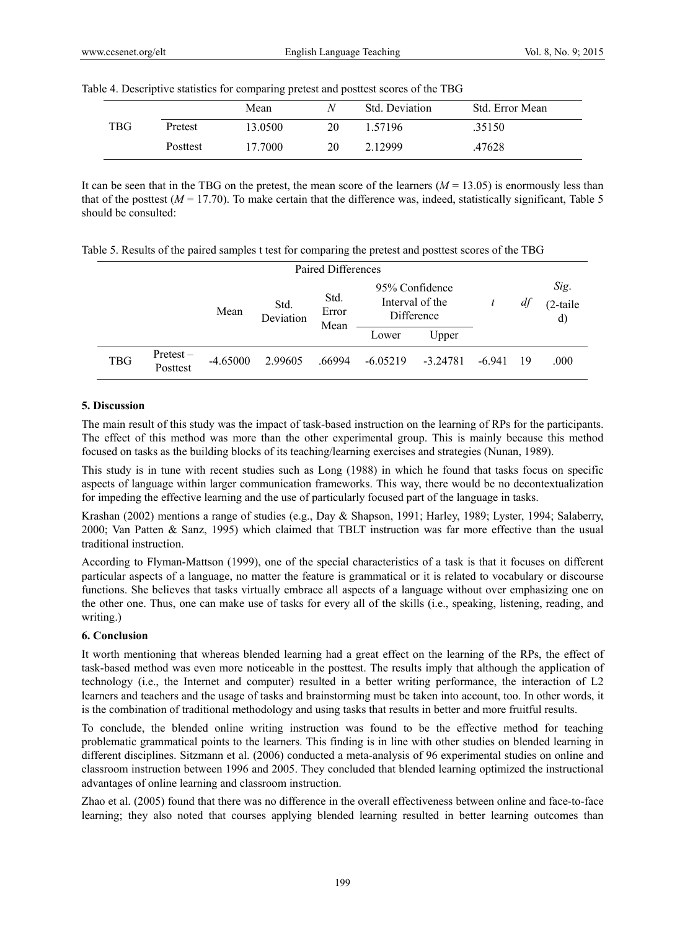|     |          | .<br>Mean | N  | Std. Deviation | Std. Error Mean |
|-----|----------|-----------|----|----------------|-----------------|
|     |          |           |    |                |                 |
| TBG | Pretest  | 13.0500   | 20 | 1.57196        | .35150          |
|     | Posttest | 17.7000   | 20 | 2.12999        | .47628          |

## Table 4. Descriptive statistics for comparing pretest and posttest scores of the TBG

It can be seen that in the TBG on the pretest, the mean score of the learners  $(M = 13.05)$  is enormously less than that of the posttest  $(M = 17.70)$ . To make certain that the difference was, indeed, statistically significant, Table 5 should be consulted:

Table 5. Results of the paired samples t test for comparing the pretest and posttest scores of the TBG

| Paired Differences |                       |            |                   |                       |            |                                                 |          |    |                          |
|--------------------|-----------------------|------------|-------------------|-----------------------|------------|-------------------------------------------------|----------|----|--------------------------|
|                    | Mean                  |            | Std.<br>Deviation | Std.<br>Error<br>Mean |            | 95% Confidence<br>Interval of the<br>Difference |          | df | Sig.<br>$(2-taile$<br>d) |
|                    |                       |            |                   |                       | Lower      | Upper                                           |          |    |                          |
| <b>TBG</b>         | Pretest –<br>Posttest | $-4.65000$ | 2.99605           | .66994                | $-6.05219$ | $-3.24781$                                      | $-6.941$ | 19 | .000                     |

#### **5. Discussion**

The main result of this study was the impact of task-based instruction on the learning of RPs for the participants. The effect of this method was more than the other experimental group. This is mainly because this method focused on tasks as the building blocks of its teaching/learning exercises and strategies (Nunan, 1989).

This study is in tune with recent studies such as Long (1988) in which he found that tasks focus on specific aspects of language within larger communication frameworks. This way, there would be no decontextualization for impeding the effective learning and the use of particularly focused part of the language in tasks.

Krashan (2002) mentions a range of studies (e.g., Day & Shapson, 1991; Harley, 1989; Lyster, 1994; Salaberry, 2000; Van Patten & Sanz, 1995) which claimed that TBLT instruction was far more effective than the usual traditional instruction.

According to Flyman-Mattson (1999), one of the special characteristics of a task is that it focuses on different particular aspects of a language, no matter the feature is grammatical or it is related to vocabulary or discourse functions. She believes that tasks virtually embrace all aspects of a language without over emphasizing one on the other one. Thus, one can make use of tasks for every all of the skills (i.e., speaking, listening, reading, and writing.)

#### **6. Conclusion**

It worth mentioning that whereas blended learning had a great effect on the learning of the RPs, the effect of task-based method was even more noticeable in the posttest. The results imply that although the application of technology (i.e., the Internet and computer) resulted in a better writing performance, the interaction of L2 learners and teachers and the usage of tasks and brainstorming must be taken into account, too. In other words, it is the combination of traditional methodology and using tasks that results in better and more fruitful results.

To conclude, the blended online writing instruction was found to be the effective method for teaching problematic grammatical points to the learners. This finding is in line with other studies on blended learning in different disciplines. Sitzmann et al. (2006) conducted a meta-analysis of 96 experimental studies on online and classroom instruction between 1996 and 2005. They concluded that blended learning optimized the instructional advantages of online learning and classroom instruction.

Zhao et al. (2005) found that there was no difference in the overall effectiveness between online and face-to-face learning; they also noted that courses applying blended learning resulted in better learning outcomes than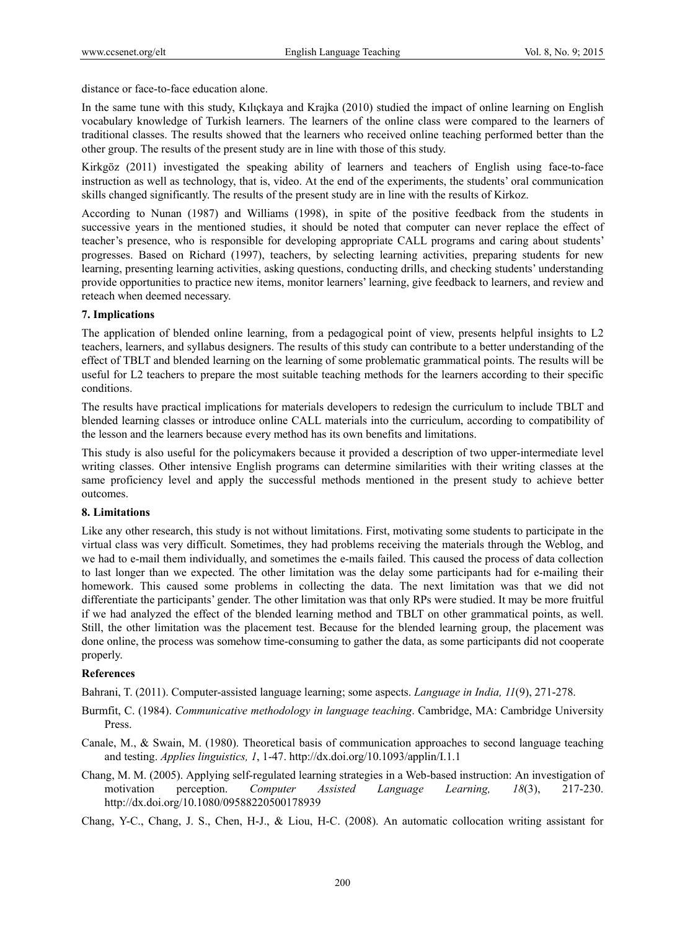distance or face-to-face education alone.

In the same tune with this study, Kılıçkaya and Krajka (2010) studied the impact of online learning on English vocabulary knowledge of Turkish learners. The learners of the online class were compared to the learners of traditional classes. The results showed that the learners who received online teaching performed better than the other group. The results of the present study are in line with those of this study.

Kirkgöz (2011) investigated the speaking ability of learners and teachers of English using face-to-face instruction as well as technology, that is, video. At the end of the experiments, the students' oral communication skills changed significantly. The results of the present study are in line with the results of Kirkoz.

According to Nunan (1987) and Williams (1998), in spite of the positive feedback from the students in successive years in the mentioned studies, it should be noted that computer can never replace the effect of teacher's presence, who is responsible for developing appropriate CALL programs and caring about students' progresses. Based on Richard (1997), teachers, by selecting learning activities, preparing students for new learning, presenting learning activities, asking questions, conducting drills, and checking students' understanding provide opportunities to practice new items, monitor learners' learning, give feedback to learners, and review and reteach when deemed necessary.

## **7. Implications**

The application of blended online learning, from a pedagogical point of view, presents helpful insights to L2 teachers, learners, and syllabus designers. The results of this study can contribute to a better understanding of the effect of TBLT and blended learning on the learning of some problematic grammatical points. The results will be useful for L2 teachers to prepare the most suitable teaching methods for the learners according to their specific conditions.

The results have practical implications for materials developers to redesign the curriculum to include TBLT and blended learning classes or introduce online CALL materials into the curriculum, according to compatibility of the lesson and the learners because every method has its own benefits and limitations.

This study is also useful for the policymakers because it provided a description of two upper-intermediate level writing classes. Other intensive English programs can determine similarities with their writing classes at the same proficiency level and apply the successful methods mentioned in the present study to achieve better outcomes.

#### **8. Limitations**

Like any other research, this study is not without limitations. First, motivating some students to participate in the virtual class was very difficult. Sometimes, they had problems receiving the materials through the Weblog, and we had to e-mail them individually, and sometimes the e-mails failed. This caused the process of data collection to last longer than we expected. The other limitation was the delay some participants had for e-mailing their homework. This caused some problems in collecting the data. The next limitation was that we did not differentiate the participants' gender. The other limitation was that only RPs were studied. It may be more fruitful if we had analyzed the effect of the blended learning method and TBLT on other grammatical points, as well. Still, the other limitation was the placement test. Because for the blended learning group, the placement was done online, the process was somehow time-consuming to gather the data, as some participants did not cooperate properly.

#### **References**

Bahrani, T. (2011). Computer-assisted language learning; some aspects. *Language in India, 11*(9), 271-278.

- Burmfit, C. (1984). *Communicative methodology in language teaching*. Cambridge, MA: Cambridge University Press.
- Canale, M., & Swain, M. (1980). Theoretical basis of communication approaches to second language teaching and testing. *Applies linguistics, 1*, 1-47. http://dx.doi.org/10.1093/applin/I.1.1
- Chang, M. M. (2005). Applying self-regulated learning strategies in a Web-based instruction: An investigation of motivation perception. *Computer Assisted Language Learning, 18*(3), 217-230. http://dx.doi.org/10.1080/09588220500178939

Chang, Y-C., Chang, J. S., Chen, H-J., & Liou, H-C. (2008). An automatic collocation writing assistant for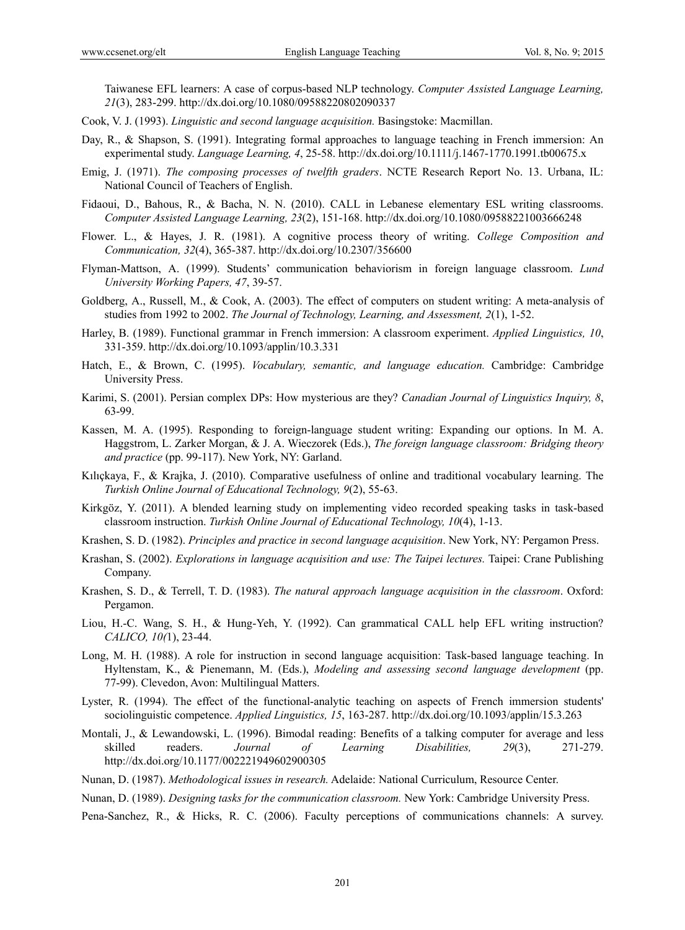Taiwanese EFL learners: A case of corpus-based NLP technology. *Computer Assisted Language Learning, 21*(3), 283-299. http://dx.doi.org/10.1080/09588220802090337

- Cook, V. J. (1993). *Linguistic and second language acquisition.* Basingstoke: Macmillan.
- Day, R., & Shapson, S. (1991). Integrating formal approaches to language teaching in French immersion: An experimental study. *Language Learning, 4*, 25-58. http://dx.doi.org/10.1111/j.1467-1770.1991.tb00675.x
- Emig, J. (1971). *The composing processes of twelfth graders*. NCTE Research Report No. 13. Urbana, IL: National Council of Teachers of English.
- Fidaoui, D., Bahous, R., & Bacha, N. N. (2010). CALL in Lebanese elementary ESL writing classrooms. *Computer Assisted Language Learning, 23*(2), 151-168. http://dx.doi.org/10.1080/09588221003666248
- Flower. L., & Hayes, J. R. (1981). A cognitive process theory of writing. *College Composition and Communication, 32*(4), 365-387. http://dx.doi.org/10.2307/356600
- Flyman-Mattson, A. (1999). Students' communication behaviorism in foreign language classroom. *Lund University Working Papers, 47*, 39-57.
- Goldberg, A., Russell, M., & Cook, A. (2003). The effect of computers on student writing: A meta-analysis of studies from 1992 to 2002. *The Journal of Technology, Learning, and Assessment, 2*(1), 1-52.
- Harley, B. (1989). Functional grammar in French immersion: A classroom experiment. *Applied Linguistics, 10*, 331-359. http://dx.doi.org/10.1093/applin/10.3.331
- Hatch, E., & Brown, C. (1995). *Vocabulary, semantic, and language education.* Cambridge: Cambridge University Press.
- Karimi, S. (2001). Persian complex DPs: How mysterious are they? *Canadian Journal of Linguistics Inquiry, 8*, 63-99.
- Kassen, M. A. (1995). Responding to foreign-language student writing: Expanding our options. In M. A. Haggstrom, L. Zarker Morgan, & J. A. Wieczorek (Eds.), *The foreign language classroom: Bridging theory and practice* (pp. 99-117). New York, NY: Garland.
- Kılıçkaya, F., & Krajka, J. (2010). Comparative usefulness of online and traditional vocabulary learning. The *Turkish Online Journal of Educational Technology, 9*(2), 55-63.
- Kirkgöz, Y. (2011). A blended learning study on implementing video recorded speaking tasks in task-based classroom instruction. *Turkish Online Journal of Educational Technology, 10*(4), 1-13.
- Krashen, S. D. (1982). *Principles and practice in second language acquisition*. New York, NY: Pergamon Press.
- Krashan, S. (2002). *Explorations in language acquisition and use: The Taipei lectures.* Taipei: Crane Publishing Company.
- Krashen, S. D., & Terrell, T. D. (1983). *The natural approach language acquisition in the classroom*. Oxford: Pergamon.
- Liou, H.-C. Wang, S. H., & Hung-Yeh, Y. (1992). Can grammatical CALL help EFL writing instruction? *CALICO, 10(*1), 23-44.
- Long, M. H. (1988). A role for instruction in second language acquisition: Task-based language teaching. In Hyltenstam, K., & Pienemann, M. (Eds.), *Modeling and assessing second language development* (pp. 77-99). Clevedon, Avon: Multilingual Matters.
- Lyster, R. (1994). The effect of the functional-analytic teaching on aspects of French immersion students' sociolinguistic competence. *Applied Linguistics, 15*, 163-287. http://dx.doi.org/10.1093/applin/15.3.263
- Montali, J., & Lewandowski, L. (1996). Bimodal reading: Benefits of a talking computer for average and less skilled readers. *Journal of Learning Disabilities, 29*(3), 271-279. http://dx.doi.org/10.1177/002221949602900305
- Nunan, D. (1987). *Methodological issues in research.* Adelaide: National Curriculum, Resource Center.
- Nunan, D. (1989). *Designing tasks for the communication classroom.* New York: Cambridge University Press.
- Pena-Sanchez, R., & Hicks, R. C. (2006). Faculty perceptions of communications channels: A survey.